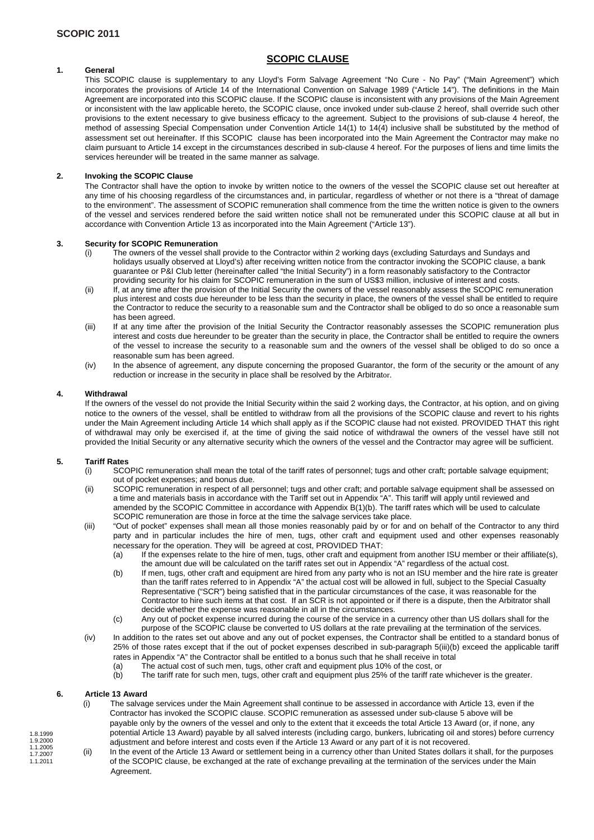# **SCOPIC CLAUSE**

# **1. General**

This SCOPIC clause is supplementary to any Lloyd's Form Salvage Agreement "No Cure - No Pay" ("Main Agreement") which incorporates the provisions of Article 14 of the International Convention on Salvage 1989 ("Article 14"). The definitions in the Main Agreement are incorporated into this SCOPIC clause. If the SCOPIC clause is inconsistent with any provisions of the Main Agreement or inconsistent with the law applicable hereto, the SCOPIC clause, once invoked under sub-clause 2 hereof, shall override such other provisions to the extent necessary to give business efficacy to the agreement. Subject to the provisions of sub-clause 4 hereof, the method of assessing Special Compensation under Convention Article 14(1) to 14(4) inclusive shall be substituted by the method of assessment set out hereinafter. If this SCOPIC clause has been incorporated into the Main Agreement the Contractor may make no claim pursuant to Article 14 except in the circumstances described in sub-clause 4 hereof. For the purposes of liens and time limits the services hereunder will be treated in the same manner as salvage.

# **2. Invoking the SCOPIC Clause**

The Contractor shall have the option to invoke by written notice to the owners of the vessel the SCOPIC clause set out hereafter at any time of his choosing regardless of the circumstances and, in particular, regardless of whether or not there is a "threat of damage to the environment". The assessment of SCOPIC remuneration shall commence from the time the written notice is given to the owners of the vessel and services rendered before the said written notice shall not be remunerated under this SCOPIC clause at all but in accordance with Convention Article 13 as incorporated into the Main Agreement ("Article 13").

### **3. Security for SCOPIC Remuneration**

- (i) The owners of the vessel shall provide to the Contractor within 2 working days (excluding Saturdays and Sundays and holidays usually observed at Lloyd's) after receiving written notice from the contractor invoking the SCOPIC clause, a bank guarantee or P&I Club letter (hereinafter called "the Initial Security") in a form reasonably satisfactory to the Contractor providing security for his claim for SCOPIC remuneration in the sum of US\$3 million, inclusive of interest and costs.
- (ii) If, at any time after the provision of the Initial Security the owners of the vessel reasonably assess the SCOPIC remuneration plus interest and costs due hereunder to be less than the security in place, the owners of the vessel shall be entitled to require the Contractor to reduce the security to a reasonable sum and the Contractor shall be obliged to do so once a reasonable sum has been agreed.
- (iii) If at any time after the provision of the Initial Security the Contractor reasonably assesses the SCOPIC remuneration plus interest and costs due hereunder to be greater than the security in place, the Contractor shall be entitled to require the owners of the vessel to increase the security to a reasonable sum and the owners of the vessel shall be obliged to do so once a reasonable sum has been agreed.
- (iv) In the absence of agreement, any dispute concerning the proposed Guarantor, the form of the security or the amount of any reduction or increase in the security in place shall be resolved by the Arbitrator.

### **4. Withdrawal**

If the owners of the vessel do not provide the Initial Security within the said 2 working days, the Contractor, at his option, and on giving notice to the owners of the vessel, shall be entitled to withdraw from all the provisions of the SCOPIC clause and revert to his rights under the Main Agreement including Article 14 which shall apply as if the SCOPIC clause had not existed. PROVIDED THAT this right of withdrawal may only be exercised if, at the time of giving the said notice of withdrawal the owners of the vessel have still not provided the Initial Security or any alternative security which the owners of the vessel and the Contractor may agree will be sufficient.

### **5. Tariff Rates**

- (i) SCOPIC remuneration shall mean the total of the tariff rates of personnel; tugs and other craft; portable salvage equipment; out of pocket expenses; and bonus due.
- (ii) SCOPIC remuneration in respect of all personnel; tugs and other craft; and portable salvage equipment shall be assessed on a time and materials basis in accordance with the Tariff set out in Appendix "A". This tariff will apply until reviewed and amended by the SCOPIC Committee in accordance with Appendix B(1)(b). The tariff rates which will be used to calculate SCOPIC remuneration are those in force at the time the salvage services take place.
- (iii) "Out of pocket" expenses shall mean all those monies reasonably paid by or for and on behalf of the Contractor to any third party and in particular includes the hire of men, tugs, other craft and equipment used and other expenses reasonably necessary for the operation. They will be agreed at cost, PROVIDED THAT:<br>(a) If the expenses relate to the hire of men. tugs, other craft and equipm
	- If the expenses relate to the hire of men, tugs, other craft and equipment from another ISU member or their affiliate(s), the amount due will be calculated on the tariff rates set out in Appendix "A" regardless of the actual cost.
	- (b) If men, tugs, other craft and equipment are hired from any party who is not an ISU member and the hire rate is greater than the tariff rates referred to in Appendix "A" the actual cost will be allowed in full, subject to the Special Casualty Representative ("SCR") being satisfied that in the particular circumstances of the case, it was reasonable for the Contractor to hire such items at that cost. If an SCR is not appointed or if there is a dispute, then the Arbitrator shall decide whether the expense was reasonable in all in the circumstances.
	- (c) Any out of pocket expense incurred during the course of the service in a currency other than US dollars shall for the purpose of the SCOPIC clause be converted to US dollars at the rate prevailing at the termination of the services.
- (iv) In addition to the rates set out above and any out of pocket expenses, the Contractor shall be entitled to a standard bonus of 25% of those rates except that if the out of pocket expenses described in sub-paragraph 5(iii)(b) exceed the applicable tariff rates in Appendix "A" the Contractor shall be entitled to a bonus such that he shall receive in total
	- (a) The actual cost of such men, tugs, other craft and equipment plus 10% of the cost, or<br>(b) The tariff rate for such men, tugs, other craft and equipment plus 25% of the tariff rate
	- The tariff rate for such men, tugs, other craft and equipment plus 25% of the tariff rate whichever is the greater.

# **6. Article 13 Award**

1.8.1999 1.9.2000

- (i) The salvage services under the Main Agreement shall continue to be assessed in accordance with Article 13, even if the Contractor has invoked the SCOPIC clause. SCOPIC remuneration as assessed under sub-clause 5 above will be payable only by the owners of the vessel and only to the extent that it exceeds the total Article 13 Award (or, if none, any potential Article 13 Award) payable by all salved interests (including cargo, bunkers, lubricating oil and stores) before currency adjustment and before interest and costs even if the Article 13 Award or any part of it is not recovered.
- 1.1.2005 1.7.2007 1.1.2011 (ii) In the event of the Article 13 Award or settlement being in a currency other than United States dollars it shall, for the purposes of the SCOPIC clause, be exchanged at the rate of exchange prevailing at the termination of the services under the Main Agreement.